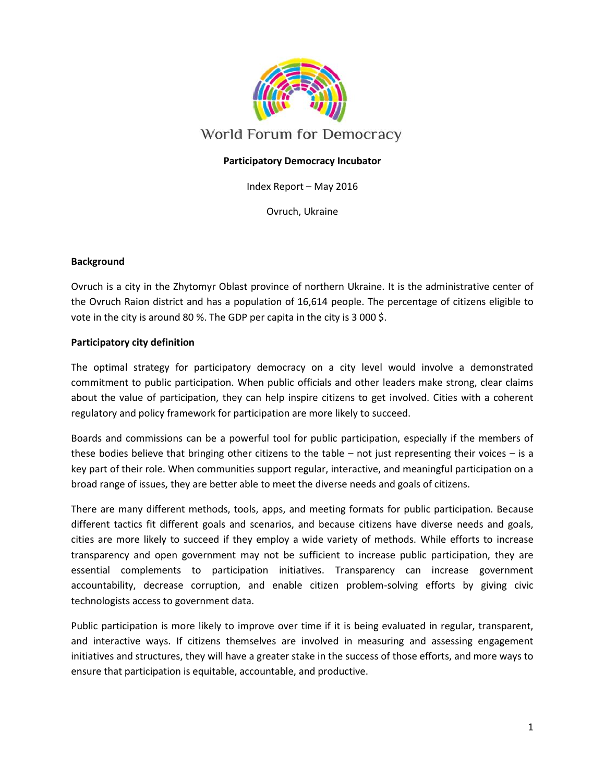

## **Participatory Democracy Incubator**

Index Report – May 2016

Ovruch, Ukraine

#### **Background**

Ovruch is a city in the Zhytomyr Oblast province of northern Ukraine. It is the administrative center of the Ovruch Raion district and has a population of 16,614 people. The percentage of citizens eligible to vote in the city is around 80 %. The GDP per capita in the city is 3 000 \$.

### **Participatory city definition**

The optimal strategy for participatory democracy on a city level would involve a demonstrated commitment to public participation. When public officials and other leaders make strong, clear claims about the value of participation, they can help inspire citizens to get involved. Cities with a coherent regulatory and policy framework for participation are more likely to succeed.

Boards and commissions can be a powerful tool for public participation, especially if the members of these bodies believe that bringing other citizens to the table – not just representing their voices – is a key part of their role. When communities support regular, interactive, and meaningful participation on a broad range of issues, they are better able to meet the diverse needs and goals of citizens.

There are many different methods, tools, apps, and meeting formats for public participation. Because different tactics fit different goals and scenarios, and because citizens have diverse needs and goals, cities are more likely to succeed if they employ a wide variety of methods. While efforts to increase transparency and open government may not be sufficient to increase public participation, they are essential complements to participation initiatives. Transparency can increase government accountability, decrease corruption, and enable citizen problem-solving efforts by giving civic technologists access to government data.

Public participation is more likely to improve over time if it is being evaluated in regular, transparent, and interactive ways. If citizens themselves are involved in measuring and assessing engagement initiatives and structures, they will have a greater stake in the success of those efforts, and more ways to ensure that participation is equitable, accountable, and productive.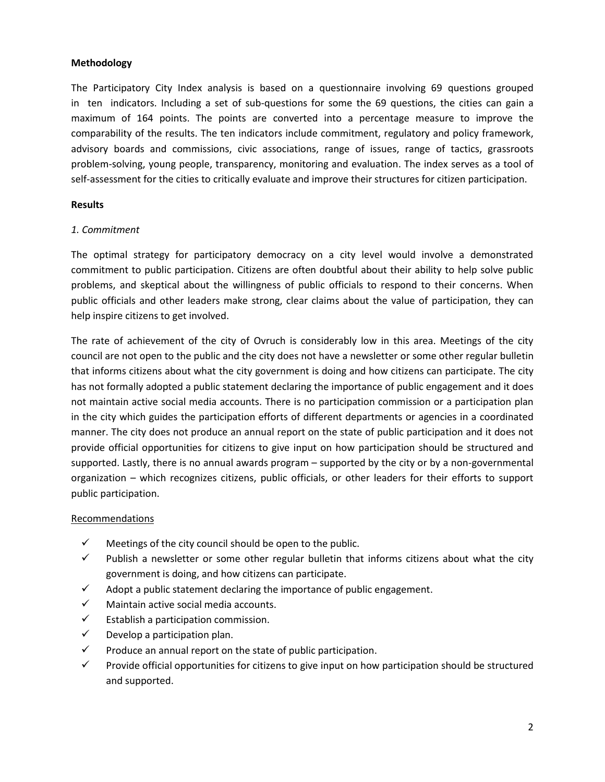## **Methodology**

The Participatory City Index analysis is based on a questionnaire involving 69 questions grouped in ten indicators. Including a set of sub-questions for some the 69 questions, the cities can gain a maximum of 164 points. The points are converted into a percentage measure to improve the comparability of the results. The ten indicators include commitment, regulatory and policy framework, advisory boards and commissions, civic associations, range of issues, range of tactics, grassroots problem-solving, young people, transparency, monitoring and evaluation. The index serves as a tool of self-assessment for the cities to critically evaluate and improve their structures for citizen participation.

### **Results**

## *1. Commitment*

The optimal strategy for participatory democracy on a city level would involve a demonstrated commitment to public participation. Citizens are often doubtful about their ability to help solve public problems, and skeptical about the willingness of public officials to respond to their concerns. When public officials and other leaders make strong, clear claims about the value of participation, they can help inspire citizens to get involved.

The rate of achievement of the city of Ovruch is considerably low in this area. Meetings of the city council are not open to the public and the city does not have a newsletter or some other regular bulletin that informs citizens about what the city government is doing and how citizens can participate. The city has not formally adopted a public statement declaring the importance of public engagement and it does not maintain active social media accounts. There is no participation commission or a participation plan in the city which guides the participation efforts of different departments or agencies in a coordinated manner. The city does not produce an annual report on the state of public participation and it does not provide official opportunities for citizens to give input on how participation should be structured and supported. Lastly, there is no annual awards program – supported by the city or by a non-governmental organization – which recognizes citizens, public officials, or other leaders for their efforts to support public participation.

### Recommendations

- $\checkmark$  Meetings of the city council should be open to the public.
- $\checkmark$  Publish a newsletter or some other regular bulletin that informs citizens about what the city government is doing, and how citizens can participate.
- $\checkmark$  Adopt a public statement declaring the importance of public engagement.
- $\checkmark$  Maintain active social media accounts.
- $\checkmark$  Establish a participation commission.
- $\checkmark$  Develop a participation plan.
- $\checkmark$  Produce an annual report on the state of public participation.
- $\checkmark$  Provide official opportunities for citizens to give input on how participation should be structured and supported.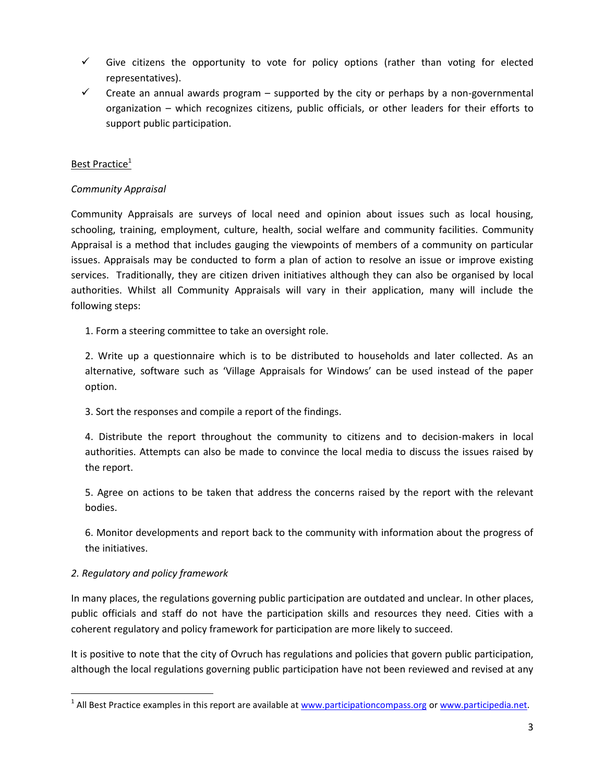- $\checkmark$  Give citizens the opportunity to vote for policy options (rather than voting for elected representatives).
- $\checkmark$  Create an annual awards program supported by the city or perhaps by a non-governmental organization – which recognizes citizens, public officials, or other leaders for their efforts to support public participation.

# Best Practice<sup>1</sup>

### *Community Appraisal*

Community Appraisals are surveys of local need and opinion about issues such as local housing, schooling, training, employment, culture, health, social welfare and community facilities. Community Appraisal is a method that includes gauging the viewpoints of members of a community on particular issues. Appraisals may be conducted to form a plan of action to resolve an issue or improve existing services. Traditionally, they are citizen driven initiatives although they can also be organised by local authorities. Whilst all Community Appraisals will vary in their application, many will include the following steps:

1. Form a steering committee to take an oversight role.

2. Write up a questionnaire which is to be distributed to households and later collected. As an alternative, software such as 'Village Appraisals for Windows' can be used instead of the paper option.

3. Sort the responses and compile a report of the findings.

4. Distribute the report throughout the community to citizens and to decision-makers in local authorities. Attempts can also be made to convince the local media to discuss the issues raised by the report.

5. Agree on actions to be taken that address the concerns raised by the report with the relevant bodies.

6. Monitor developments and report back to the community with information about the progress of the initiatives.

### *2. Regulatory and policy framework*

 $\overline{\phantom{a}}$ 

In many places, the regulations governing public participation are outdated and unclear. In other places, public officials and staff do not have the participation skills and resources they need. Cities with a coherent regulatory and policy framework for participation are more likely to succeed.

It is positive to note that the city of Ovruch has regulations and policies that govern public participation, although the local regulations governing public participation have not been reviewed and revised at any

<sup>&</sup>lt;sup>1</sup> All Best Practice examples in this report are available at [www.participationcompass.org](http://www.participationcompass.org/) o[r www.participedia.net.](http://www.participedia.net/)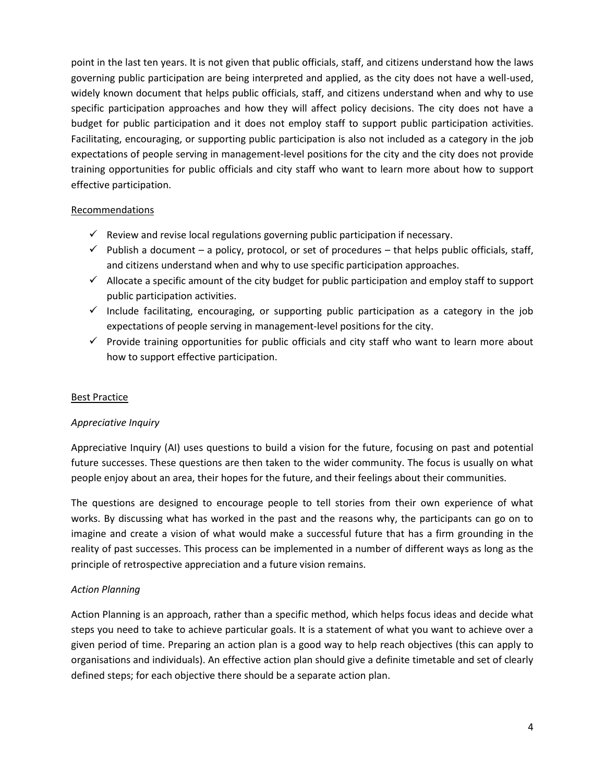point in the last ten years. It is not given that public officials, staff, and citizens understand how the laws governing public participation are being interpreted and applied, as the city does not have a well-used, widely known document that helps public officials, staff, and citizens understand when and why to use specific participation approaches and how they will affect policy decisions. The city does not have a budget for public participation and it does not employ staff to support public participation activities. Facilitating, encouraging, or supporting public participation is also not included as a category in the job expectations of people serving in management-level positions for the city and the city does not provide training opportunities for public officials and city staff who want to learn more about how to support effective participation.

### Recommendations

- $\checkmark$  Review and revise local regulations governing public participation if necessary.
- $\checkmark$  Publish a document a policy, protocol, or set of procedures that helps public officials, staff, and citizens understand when and why to use specific participation approaches.
- $\checkmark$  Allocate a specific amount of the city budget for public participation and employ staff to support public participation activities.
- $\checkmark$  Include facilitating, encouraging, or supporting public participation as a category in the job expectations of people serving in management-level positions for the city.
- $\checkmark$  Provide training opportunities for public officials and city staff who want to learn more about how to support effective participation.

### Best Practice

### *Appreciative Inquiry*

Appreciative Inquiry (AI) uses questions to build a vision for the future, focusing on past and potential future successes. These questions are then taken to the wider community. The focus is usually on what people enjoy about an area, their hopes for the future, and their feelings about their communities.

The questions are designed to encourage people to tell stories from their own experience of what works. By discussing what has worked in the past and the reasons why, the participants can go on to imagine and create a vision of what would make a successful future that has a firm grounding in the reality of past successes. This process can be implemented in a number of different ways as long as the principle of retrospective appreciation and a future vision remains.

### *Action Planning*

Action Planning is an approach, rather than a specific method, which helps focus ideas and decide what steps you need to take to achieve particular goals. It is a statement of what you want to achieve over a given period of time. Preparing an action plan is a good way to help reach objectives (this can apply to organisations and individuals). An effective action plan should give a definite timetable and set of clearly defined steps; for each objective there should be a separate action plan.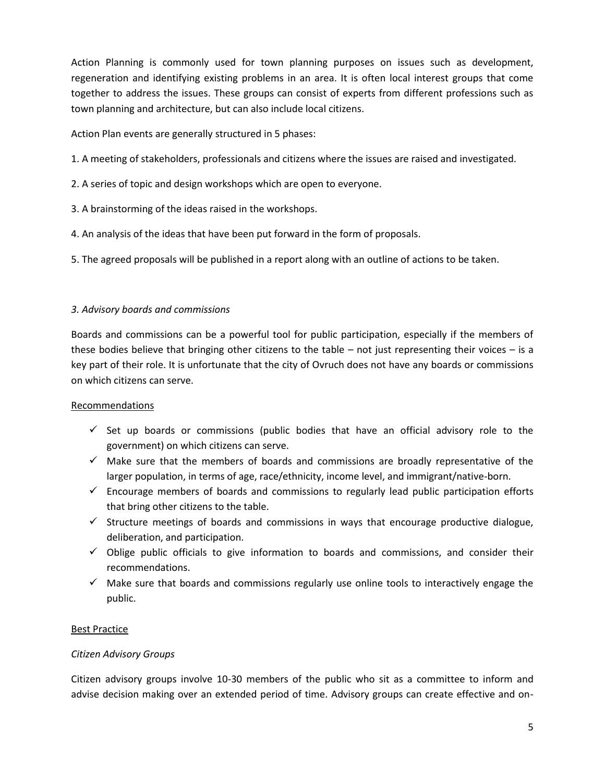Action Planning is commonly used for town planning purposes on issues such as development, regeneration and identifying existing problems in an area. It is often local interest groups that come together to address the issues. These groups can consist of experts from different professions such as town planning and architecture, but can also include local citizens.

Action Plan events are generally structured in 5 phases:

- 1. A meeting of stakeholders, professionals and citizens where the issues are raised and investigated.
- 2. A series of topic and design workshops which are open to everyone.
- 3. A brainstorming of the ideas raised in the workshops.
- 4. An analysis of the ideas that have been put forward in the form of proposals.
- 5. The agreed proposals will be published in a report along with an outline of actions to be taken.

## *3. Advisory boards and commissions*

Boards and commissions can be a powerful tool for public participation, especially if the members of these bodies believe that bringing other citizens to the table – not just representing their voices – is a key part of their role. It is unfortunate that the city of Ovruch does not have any boards or commissions on which citizens can serve.

### Recommendations

- $\checkmark$  Set up boards or commissions (public bodies that have an official advisory role to the government) on which citizens can serve.
- $\checkmark$  Make sure that the members of boards and commissions are broadly representative of the larger population, in terms of age, race/ethnicity, income level, and immigrant/native-born.
- $\checkmark$  Encourage members of boards and commissions to regularly lead public participation efforts that bring other citizens to the table.
- $\checkmark$  Structure meetings of boards and commissions in ways that encourage productive dialogue, deliberation, and participation.
- $\checkmark$  Oblige public officials to give information to boards and commissions, and consider their recommendations.
- $\checkmark$  Make sure that boards and commissions regularly use online tools to interactively engage the public.

### Best Practice

### *Citizen Advisory Groups*

Citizen advisory groups involve 10-30 members of the public who sit as a committee to inform and advise decision making over an extended period of time. Advisory groups can create effective and on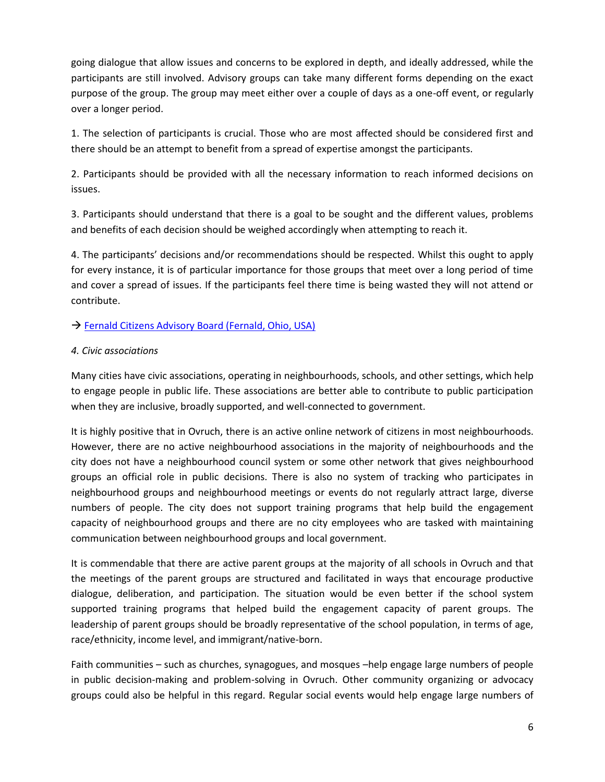going dialogue that allow issues and concerns to be explored in depth, and ideally addressed, while the participants are still involved. Advisory groups can take many different forms depending on the exact purpose of the group. The group may meet either over a couple of days as a one-off event, or regularly over a longer period.

1. The selection of participants is crucial. Those who are most affected should be considered first and there should be an attempt to benefit from a spread of expertise amongst the participants.

2. Participants should be provided with all the necessary information to reach informed decisions on issues.

3. Participants should understand that there is a goal to be sought and the different values, problems and benefits of each decision should be weighed accordingly when attempting to reach it.

4. The participants' decisions and/or recommendations should be respected. Whilst this ought to apply for every instance, it is of particular importance for those groups that meet over a long period of time and cover a spread of issues. If the participants feel there time is being wasted they will not attend or contribute.

# → [Fernald Citizens Advisory Board \(Fernald, Ohio, USA\)](http://participedia.net/en/cases/fernald-citizens-advisory-board-fernald-ohio-usa)

# *4. Civic associations*

Many cities have civic associations, operating in neighbourhoods, schools, and other settings, which help to engage people in public life. These associations are better able to contribute to public participation when they are inclusive, broadly supported, and well-connected to government.

It is highly positive that in Ovruch, there is an active online network of citizens in most neighbourhoods. However, there are no active neighbourhood associations in the majority of neighbourhoods and the city does not have a neighbourhood council system or some other network that gives neighbourhood groups an official role in public decisions. There is also no system of tracking who participates in neighbourhood groups and neighbourhood meetings or events do not regularly attract large, diverse numbers of people. The city does not support training programs that help build the engagement capacity of neighbourhood groups and there are no city employees who are tasked with maintaining communication between neighbourhood groups and local government.

It is commendable that there are active parent groups at the majority of all schools in Ovruch and that the meetings of the parent groups are structured and facilitated in ways that encourage productive dialogue, deliberation, and participation. The situation would be even better if the school system supported training programs that helped build the engagement capacity of parent groups. The leadership of parent groups should be broadly representative of the school population, in terms of age, race/ethnicity, income level, and immigrant/native-born.

Faith communities – such as churches, synagogues, and mosques –help engage large numbers of people in public decision-making and problem-solving in Ovruch. Other community organizing or advocacy groups could also be helpful in this regard. Regular social events would help engage large numbers of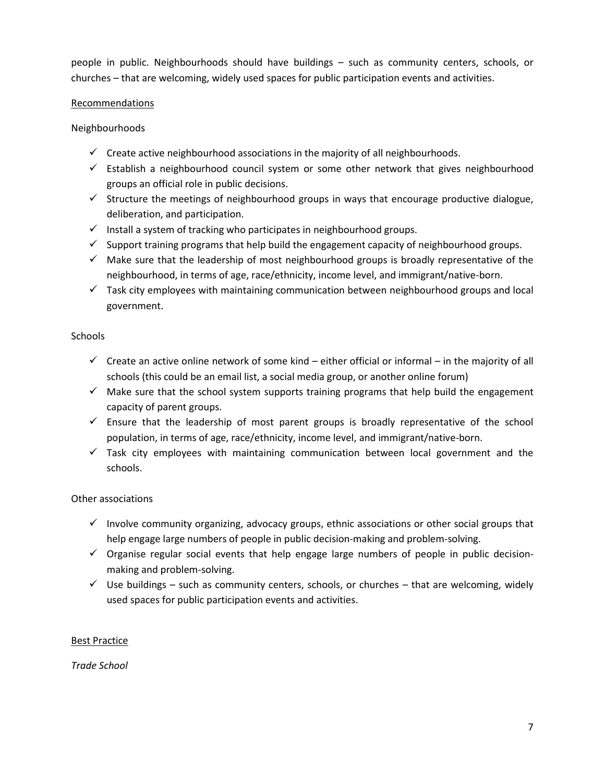people in public. Neighbourhoods should have buildings – such as community centers, schools, or churches – that are welcoming, widely used spaces for public participation events and activities.

## Recommendations

## Neighbourhoods

- $\checkmark$  Create active neighbourhood associations in the majority of all neighbourhoods.
- $\checkmark$  Establish a neighbourhood council system or some other network that gives neighbourhood groups an official role in public decisions.
- $\checkmark$  Structure the meetings of neighbourhood groups in ways that encourage productive dialogue, deliberation, and participation.
- $\checkmark$  Install a system of tracking who participates in neighbourhood groups.
- $\checkmark$  Support training programs that help build the engagement capacity of neighbourhood groups.
- $\checkmark$  Make sure that the leadership of most neighbourhood groups is broadly representative of the neighbourhood, in terms of age, race/ethnicity, income level, and immigrant/native-born.
- $\checkmark$  Task city employees with maintaining communication between neighbourhood groups and local government.

## **Schools**

- $\checkmark$  Create an active online network of some kind either official or informal in the majority of all schools (this could be an email list, a social media group, or another online forum)
- $\checkmark$  Make sure that the school system supports training programs that help build the engagement capacity of parent groups.
- $\checkmark$  Ensure that the leadership of most parent groups is broadly representative of the school population, in terms of age, race/ethnicity, income level, and immigrant/native-born.
- $\checkmark$  Task city employees with maintaining communication between local government and the schools.

# Other associations

- $\checkmark$  Involve community organizing, advocacy groups, ethnic associations or other social groups that help engage large numbers of people in public decision-making and problem-solving.
- $\checkmark$  Organise regular social events that help engage large numbers of people in public decisionmaking and problem-solving.
- $\checkmark$  Use buildings such as community centers, schools, or churches that are welcoming, widely used spaces for public participation events and activities.

# Best Practice

*Trade School*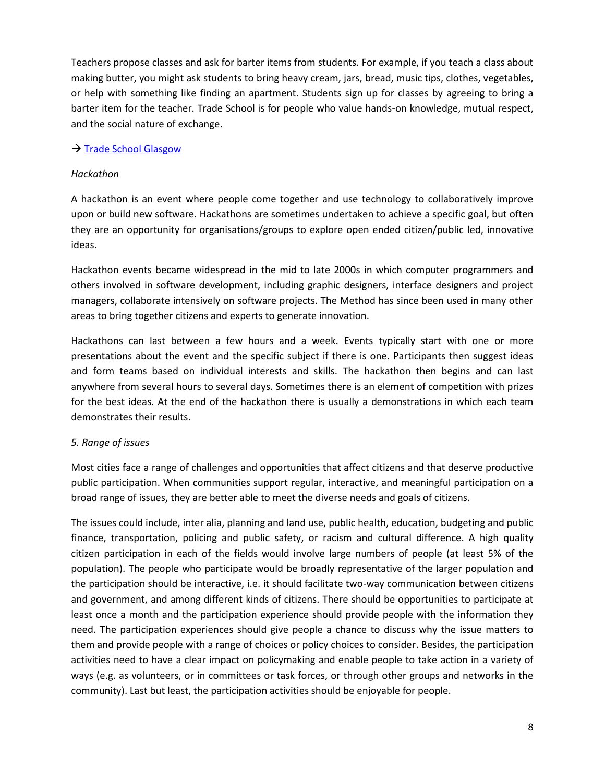Teachers propose classes and ask for barter items from students. For example, if you teach a class about making butter, you might ask students to bring heavy cream, jars, bread, music tips, clothes, vegetables, or help with something like finding an apartment. Students sign up for classes by agreeing to bring a barter item for the teacher. Trade School is for people who value hands-on knowledge, mutual respect, and the social nature of exchange.

## $\rightarrow$  [Trade School Glasgow](http://tradeschool.coop/about/)

### *Hackathon*

A hackathon is an event where people come together and use technology to collaboratively improve upon or build new software. Hackathons are sometimes undertaken to achieve a specific goal, but often they are an opportunity for organisations/groups to explore open ended citizen/public led, innovative ideas.

Hackathon events became widespread in the mid to late 2000s in which computer programmers and others involved in software development, including graphic designers, interface designers and project managers, collaborate intensively on software projects. The Method has since been used in many other areas to bring together citizens and experts to generate innovation.

Hackathons can last between a few hours and a week. Events typically start with one or more presentations about the event and the specific subject if there is one. Participants then suggest ideas and form teams based on individual interests and skills. The hackathon then begins and can last anywhere from several hours to several days. Sometimes there is an element of competition with prizes for the best ideas. At the end of the hackathon there is usually a demonstrations in which each team demonstrates their results.

### *5. Range of issues*

Most cities face a range of challenges and opportunities that affect citizens and that deserve productive public participation. When communities support regular, interactive, and meaningful participation on a broad range of issues, they are better able to meet the diverse needs and goals of citizens.

The issues could include, inter alia, planning and land use, public health, education, budgeting and public finance, transportation, policing and public safety, or racism and cultural difference. A high quality citizen participation in each of the fields would involve large numbers of people (at least 5% of the population). The people who participate would be broadly representative of the larger population and the participation should be interactive, i.e. it should facilitate two-way communication between citizens and government, and among different kinds of citizens. There should be opportunities to participate at least once a month and the participation experience should provide people with the information they need. The participation experiences should give people a chance to discuss why the issue matters to them and provide people with a range of choices or policy choices to consider. Besides, the participation activities need to have a clear impact on policymaking and enable people to take action in a variety of ways (e.g. as volunteers, or in committees or task forces, or through other groups and networks in the community). Last but least, the participation activities should be enjoyable for people.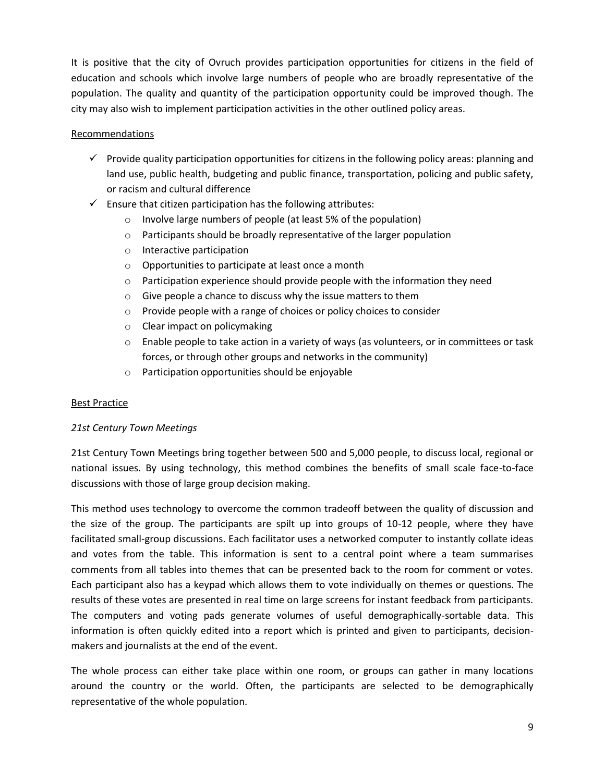It is positive that the city of Ovruch provides participation opportunities for citizens in the field of education and schools which involve large numbers of people who are broadly representative of the population. The quality and quantity of the participation opportunity could be improved though. The city may also wish to implement participation activities in the other outlined policy areas.

## Recommendations

- $\checkmark$  Provide quality participation opportunities for citizens in the following policy areas: planning and land use, public health, budgeting and public finance, transportation, policing and public safety, or racism and cultural difference
- $\checkmark$  Ensure that citizen participation has the following attributes:
	- o Involve large numbers of people (at least 5% of the population)
	- o Participants should be broadly representative of the larger population
	- o Interactive participation
	- o Opportunities to participate at least once a month
	- $\circ$  Participation experience should provide people with the information they need
	- o Give people a chance to discuss why the issue matters to them
	- o Provide people with a range of choices or policy choices to consider
	- o Clear impact on policymaking
	- o Enable people to take action in a variety of ways (as volunteers, or in committees or task forces, or through other groups and networks in the community)
	- o Participation opportunities should be enjoyable

# Best Practice

# *21st Century Town Meetings*

21st Century Town Meetings bring together between 500 and 5,000 people, to discuss local, regional or national issues. By using technology, this method combines the benefits of small scale face-to-face discussions with those of large group decision making.

This method uses technology to overcome the common tradeoff between the quality of discussion and the size of the group. The participants are spilt up into groups of 10-12 people, where they have facilitated small-group discussions. Each facilitator uses a networked computer to instantly collate ideas and votes from the table. This information is sent to a central point where a team summarises comments from all tables into themes that can be presented back to the room for comment or votes. Each participant also has a keypad which allows them to vote individually on themes or questions. The results of these votes are presented in real time on large screens for instant feedback from participants. The computers and voting pads generate volumes of useful demographically-sortable data. This information is often quickly edited into a report which is printed and given to participants, decisionmakers and journalists at the end of the event.

The whole process can either take place within one room, or groups can gather in many locations around the country or the world. Often, the participants are selected to be demographically representative of the whole population.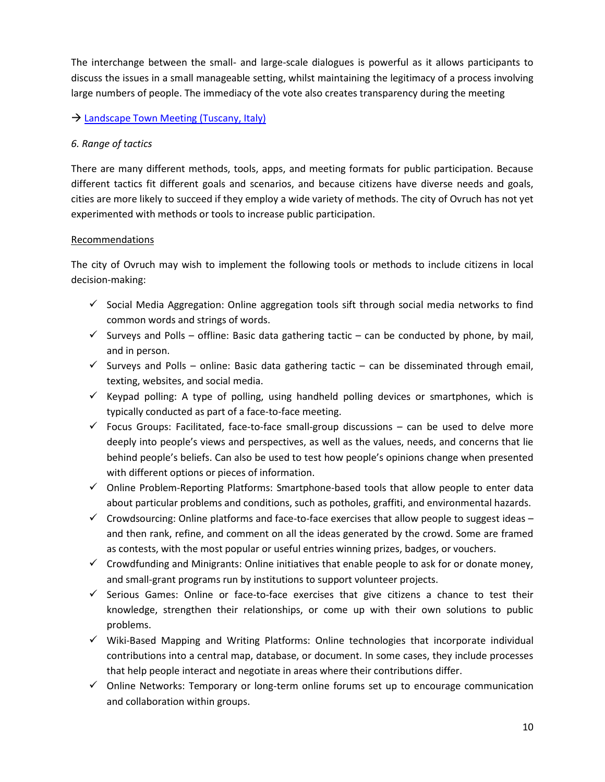The interchange between the small- and large-scale dialogues is powerful as it allows participants to discuss the issues in a small manageable setting, whilst maintaining the legitimacy of a process involving large numbers of people. The immediacy of the vote also creates transparency during the meeting

## → [Landscape Town Meeting \(Tuscany, Italy\)](http://participedia.net/en/cases/landscape-town-meeting-tuscany-italy)

## *6. Range of tactics*

There are many different methods, tools, apps, and meeting formats for public participation. Because different tactics fit different goals and scenarios, and because citizens have diverse needs and goals, cities are more likely to succeed if they employ a wide variety of methods. The city of Ovruch has not yet experimented with methods or tools to increase public participation.

## Recommendations

The city of Ovruch may wish to implement the following tools or methods to include citizens in local decision-making:

- $\checkmark$  Social Media Aggregation: Online aggregation tools sift through social media networks to find common words and strings of words.
- $\checkmark$  Surveys and Polls offline: Basic data gathering tactic can be conducted by phone, by mail, and in person.
- $\checkmark$  Surveys and Polls online: Basic data gathering tactic can be disseminated through email, texting, websites, and social media.
- $\checkmark$  Keypad polling: A type of polling, using handheld polling devices or smartphones, which is typically conducted as part of a face-to-face meeting.
- $\checkmark$  Focus Groups: Facilitated, face-to-face small-group discussions can be used to delve more deeply into people's views and perspectives, as well as the values, needs, and concerns that lie behind people's beliefs. Can also be used to test how people's opinions change when presented with different options or pieces of information.
- $\checkmark$  Online Problem-Reporting Platforms: Smartphone-based tools that allow people to enter data about particular problems and conditions, such as potholes, graffiti, and environmental hazards.
- $\checkmark$  Crowdsourcing: Online platforms and face-to-face exercises that allow people to suggest ideas  $$ and then rank, refine, and comment on all the ideas generated by the crowd. Some are framed as contests, with the most popular or useful entries winning prizes, badges, or vouchers.
- $\checkmark$  Crowdfunding and Minigrants: Online initiatives that enable people to ask for or donate money, and small-grant programs run by institutions to support volunteer projects.
- $\checkmark$  Serious Games: Online or face-to-face exercises that give citizens a chance to test their knowledge, strengthen their relationships, or come up with their own solutions to public problems.
- $\checkmark$  Wiki-Based Mapping and Writing Platforms: Online technologies that incorporate individual contributions into a central map, database, or document. In some cases, they include processes that help people interact and negotiate in areas where their contributions differ.
- $\checkmark$  Online Networks: Temporary or long-term online forums set up to encourage communication and collaboration within groups.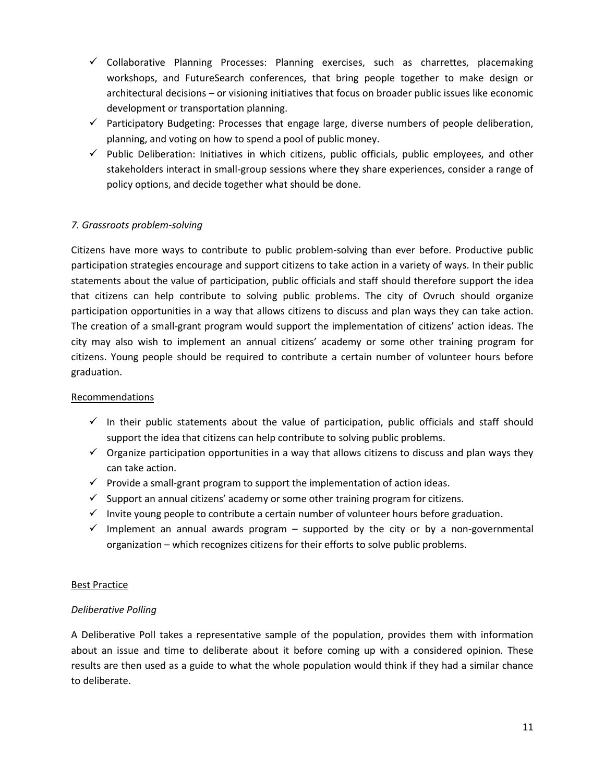- $\checkmark$  Collaborative Planning Processes: Planning exercises, such as charrettes, placemaking workshops, and FutureSearch conferences, that bring people together to make design or architectural decisions – or visioning initiatives that focus on broader public issues like economic development or transportation planning.
- $\checkmark$  Participatory Budgeting: Processes that engage large, diverse numbers of people deliberation, planning, and voting on how to spend a pool of public money.
- $\checkmark$  Public Deliberation: Initiatives in which citizens, public officials, public employees, and other stakeholders interact in small-group sessions where they share experiences, consider a range of policy options, and decide together what should be done.

# *7. Grassroots problem-solving*

Citizens have more ways to contribute to public problem-solving than ever before. Productive public participation strategies encourage and support citizens to take action in a variety of ways. In their public statements about the value of participation, public officials and staff should therefore support the idea that citizens can help contribute to solving public problems. The city of Ovruch should organize participation opportunities in a way that allows citizens to discuss and plan ways they can take action. The creation of a small-grant program would support the implementation of citizens' action ideas. The city may also wish to implement an annual citizens' academy or some other training program for citizens. Young people should be required to contribute a certain number of volunteer hours before graduation.

### Recommendations

- $\checkmark$  In their public statements about the value of participation, public officials and staff should support the idea that citizens can help contribute to solving public problems.
- $\checkmark$  Organize participation opportunities in a way that allows citizens to discuss and plan ways they can take action.
- $\checkmark$  Provide a small-grant program to support the implementation of action ideas.
- $\checkmark$  Support an annual citizens' academy or some other training program for citizens.
- $\checkmark$  Invite young people to contribute a certain number of volunteer hours before graduation.
- $\checkmark$  Implement an annual awards program supported by the city or by a non-governmental organization – which recognizes citizens for their efforts to solve public problems.

### Best Practice

### *Deliberative Polling*

A Deliberative Poll takes a representative sample of the population, provides them with information about an issue and time to deliberate about it before coming up with a considered opinion. These results are then used as a guide to what the whole population would think if they had a similar chance to deliberate.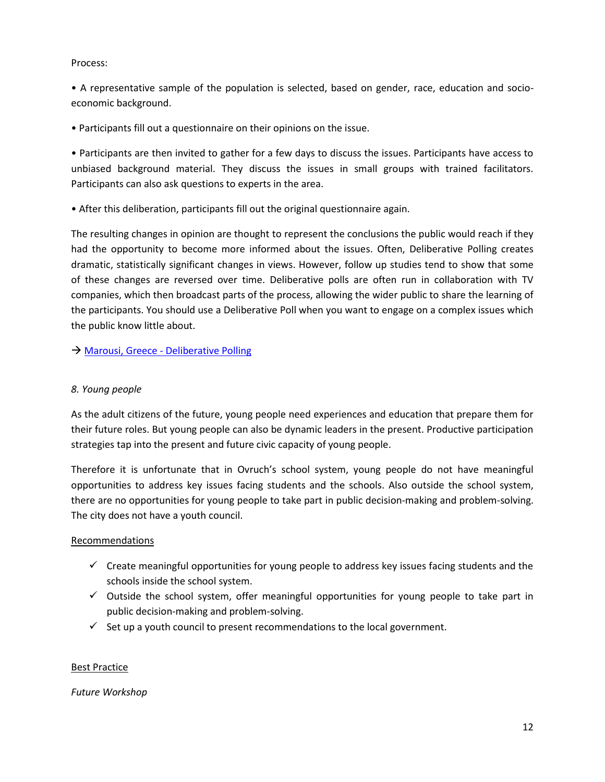#### Process:

• A representative sample of the population is selected, based on gender, race, education and socioeconomic background.

• Participants fill out a questionnaire on their opinions on the issue.

• Participants are then invited to gather for a few days to discuss the issues. Participants have access to unbiased background material. They discuss the issues in small groups with trained facilitators. Participants can also ask questions to experts in the area.

• After this deliberation, participants fill out the original questionnaire again.

The resulting changes in opinion are thought to represent the conclusions the public would reach if they had the opportunity to become more informed about the issues. Often, Deliberative Polling creates dramatic, statistically significant changes in views. However, follow up studies tend to show that some of these changes are reversed over time. Deliberative polls are often run in collaboration with TV companies, which then broadcast parts of the process, allowing the wider public to share the learning of the participants. You should use a Deliberative Poll when you want to engage on a complex issues which the public know little about.

## → Marousi, Greece - [Deliberative Polling](http://participedia.net/en/cases/marousi-greece-deliberative-polling)

## *8. Young people*

As the adult citizens of the future, young people need experiences and education that prepare them for their future roles. But young people can also be dynamic leaders in the present. Productive participation strategies tap into the present and future civic capacity of young people.

Therefore it is unfortunate that in Ovruch's school system, young people do not have meaningful opportunities to address key issues facing students and the schools. Also outside the school system, there are no opportunities for young people to take part in public decision-making and problem-solving. The city does not have a youth council.

### Recommendations

- $\checkmark$  Create meaningful opportunities for young people to address key issues facing students and the schools inside the school system.
- $\checkmark$  Outside the school system, offer meaningful opportunities for young people to take part in public decision-making and problem-solving.
- $\checkmark$  Set up a youth council to present recommendations to the local government.

### Best Practice

### *Future Workshop*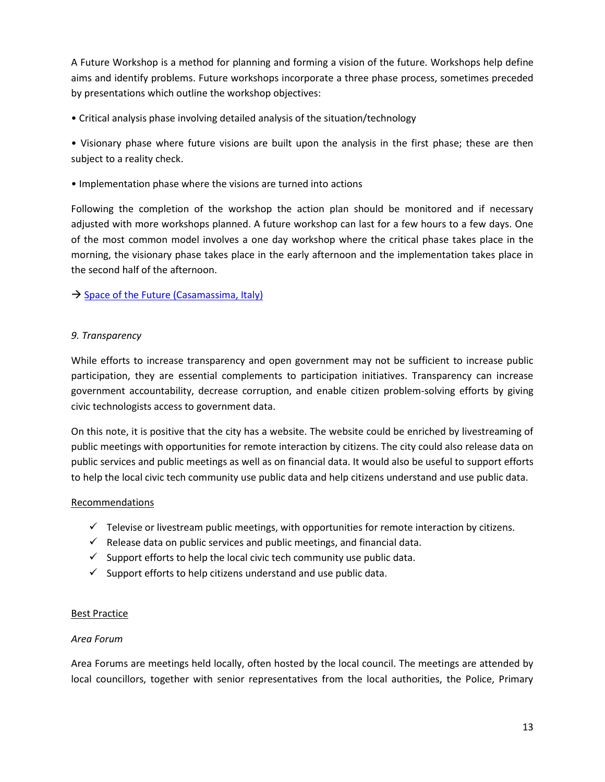A Future Workshop is a method for planning and forming a vision of the future. Workshops help define aims and identify problems. Future workshops incorporate a three phase process, sometimes preceded by presentations which outline the workshop objectives:

• Critical analysis phase involving detailed analysis of the situation/technology

• Visionary phase where future visions are built upon the analysis in the first phase; these are then subject to a reality check.

• Implementation phase where the visions are turned into actions

Following the completion of the workshop the action plan should be monitored and if necessary adjusted with more workshops planned. A future workshop can last for a few hours to a few days. One of the most common model involves a one day workshop where the critical phase takes place in the morning, the visionary phase takes place in the early afternoon and the implementation takes place in the second half of the afternoon.

 $\rightarrow$  [Space of the Future \(Casamassima, Italy\)](http://participedia.net/en/cases/space-future-casamassima-italy)

# *9. Transparency*

While efforts to increase transparency and open government may not be sufficient to increase public participation, they are essential complements to participation initiatives. Transparency can increase government accountability, decrease corruption, and enable citizen problem-solving efforts by giving civic technologists access to government data.

On this note, it is positive that the city has a website. The website could be enriched by livestreaming of public meetings with opportunities for remote interaction by citizens. The city could also release data on public services and public meetings as well as on financial data. It would also be useful to support efforts to help the local civic tech community use public data and help citizens understand and use public data.

# Recommendations

- $\checkmark$  Televise or livestream public meetings, with opportunities for remote interaction by citizens.
- $\checkmark$  Release data on public services and public meetings, and financial data.
- $\checkmark$  Support efforts to help the local civic tech community use public data.
- $\checkmark$  Support efforts to help citizens understand and use public data.

# Best Practice

# *Area Forum*

Area Forums are meetings held locally, often hosted by the local council. The meetings are attended by local councillors, together with senior representatives from the local authorities, the Police, Primary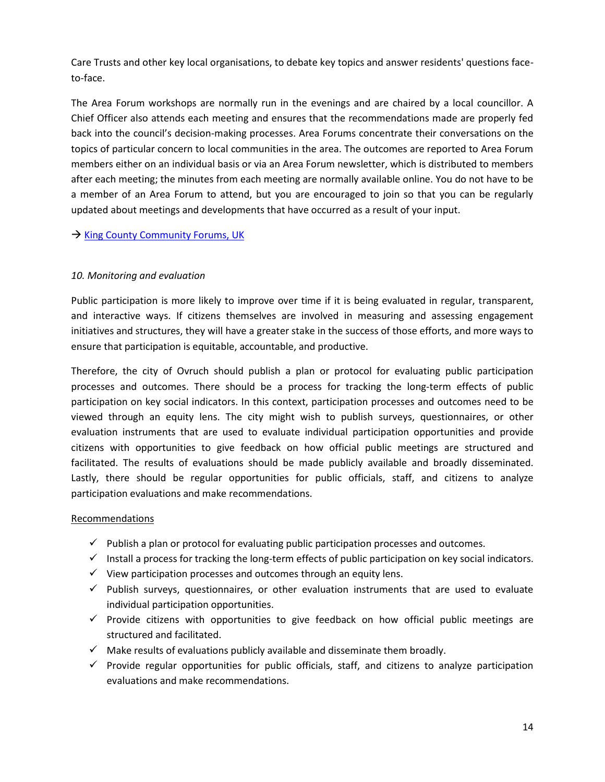Care Trusts and other key local organisations, to debate key topics and answer residents' questions faceto-face.

The Area Forum workshops are normally run in the evenings and are chaired by a local councillor. A Chief Officer also attends each meeting and ensures that the recommendations made are properly fed back into the council's decision-making processes. Area Forums concentrate their conversations on the topics of particular concern to local communities in the area. The outcomes are reported to Area Forum members either on an individual basis or via an Area Forum newsletter, which is distributed to members after each meeting; the minutes from each meeting are normally available online. You do not have to be a member of an Area Forum to attend, but you are encouraged to join so that you can be regularly updated about meetings and developments that have occurred as a result of your input.

 $\rightarrow$  [King County Community Forums, UK](http://participedia.net/en/cases/countywide-community-forums-king-county)

## *10. Monitoring and evaluation*

Public participation is more likely to improve over time if it is being evaluated in regular, transparent, and interactive ways. If citizens themselves are involved in measuring and assessing engagement initiatives and structures, they will have a greater stake in the success of those efforts, and more ways to ensure that participation is equitable, accountable, and productive.

Therefore, the city of Ovruch should publish a plan or protocol for evaluating public participation processes and outcomes. There should be a process for tracking the long-term effects of public participation on key social indicators. In this context, participation processes and outcomes need to be viewed through an equity lens. The city might wish to publish surveys, questionnaires, or other evaluation instruments that are used to evaluate individual participation opportunities and provide citizens with opportunities to give feedback on how official public meetings are structured and facilitated. The results of evaluations should be made publicly available and broadly disseminated. Lastly, there should be regular opportunities for public officials, staff, and citizens to analyze participation evaluations and make recommendations.

### Recommendations

- $\checkmark$  Publish a plan or protocol for evaluating public participation processes and outcomes.
- $\checkmark$  Install a process for tracking the long-term effects of public participation on key social indicators.
- $\checkmark$  View participation processes and outcomes through an equity lens.
- $\checkmark$  Publish surveys, questionnaires, or other evaluation instruments that are used to evaluate individual participation opportunities.
- $\checkmark$  Provide citizens with opportunities to give feedback on how official public meetings are structured and facilitated.
- $\checkmark$  Make results of evaluations publicly available and disseminate them broadly.
- $\checkmark$  Provide regular opportunities for public officials, staff, and citizens to analyze participation evaluations and make recommendations.